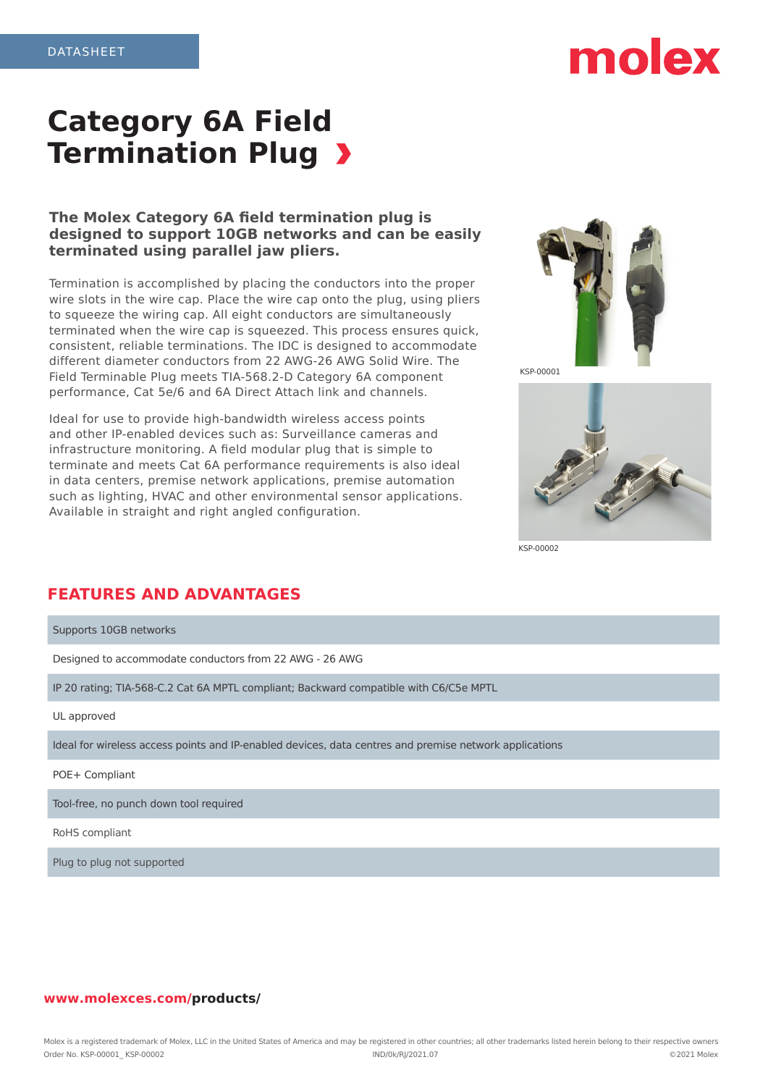# molex

# **Category 6A Field Termination Plug >**

### **The Molex Category 6A field termination plug is designed to support 10GB networks and can be easily terminated using parallel jaw pliers.**

Termination is accomplished by placing the conductors into the proper wire slots in the wire cap. Place the wire cap onto the plug, using pliers to squeeze the wiring cap. All eight conductors are simultaneously terminated when the wire cap is squeezed. This process ensures quick, consistent, reliable terminations. The IDC is designed to accommodate different diameter conductors from 22 AWG-26 AWG Solid Wire. The Field Terminable Plug meets TIA-568.2-D Category 6A component performance, Cat 5e/6 and 6A Direct Attach link and channels.

Ideal for use to provide high-bandwidth wireless access points and other IP-enabled devices such as: Surveillance cameras and infrastructure monitoring. A field modular plug that is simple to terminate and meets Cat 6A performance requirements is also ideal in data centers, premise network applications, premise automation such as lighting, HVAC and other environmental sensor applications. Available in straight and right angled configuration.



KSP-00001



KSP-00002

## **FEATURES AND ADVANTAGES**

Supports 10GB networks Designed to accommodate conductors from 22 AWG - 26 AWG IP 20 rating; TIA-568-C.2 Cat 6A MPTL compliant; Backward compatible with C6/C5e MPTL UL approved Ideal for wireless access points and IP-enabled devices, data centres and premise network applications POE+ Compliant Tool-free, no punch down tool required

RoHS compliant

Plug to plug not supported

#### **www.molexces.com/products/**